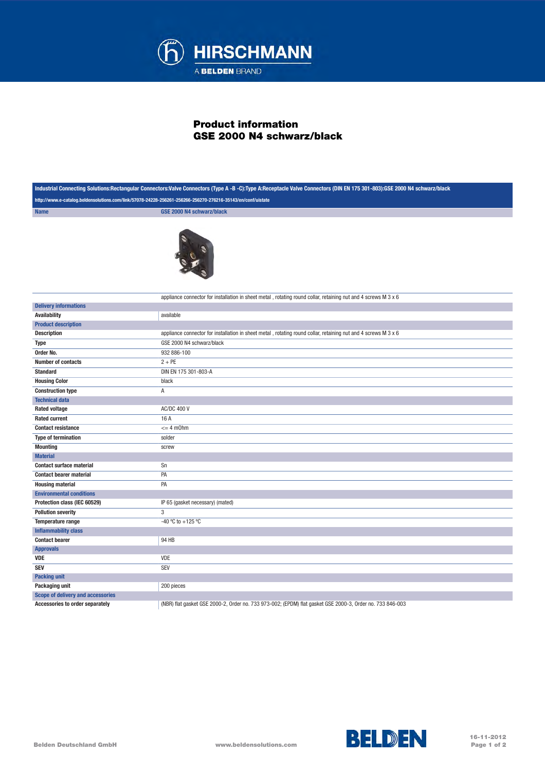

## Product information GSE 2000 N4 schwarz/black

| Industrial Connecting Solutions:Rectangular Connectors:Valve Connectors (Type A -B -C):Type A:Receptacle Valve Connectors (DIN EN 175 301-803):GSE 2000 N4 schwarz/black |                                                                                                                       |
|--------------------------------------------------------------------------------------------------------------------------------------------------------------------------|-----------------------------------------------------------------------------------------------------------------------|
| http://www.e-catalog.beldensolutions.com/link/57078-24228-256261-256266-256270-276216-35143/en/conf/uistate                                                              |                                                                                                                       |
| <b>Name</b>                                                                                                                                                              | <b>GSE 2000 N4 schwarz/black</b>                                                                                      |
|                                                                                                                                                                          |                                                                                                                       |
|                                                                                                                                                                          | appliance connector for installation in sheet metal, rotating round collar, retaining nut and 4 screws M $3 \times 6$ |
| <b>Delivery informations</b>                                                                                                                                             |                                                                                                                       |
| <b>Availability</b>                                                                                                                                                      | available                                                                                                             |
| <b>Product description</b>                                                                                                                                               |                                                                                                                       |
| <b>Description</b>                                                                                                                                                       | appliance connector for installation in sheet metal, rotating round collar, retaining nut and 4 screws M 3 x 6        |
| <b>Type</b>                                                                                                                                                              | GSE 2000 N4 schwarz/black                                                                                             |
| Order No.                                                                                                                                                                | 932 886-100                                                                                                           |
| <b>Number of contacts</b>                                                                                                                                                | $2 + PE$                                                                                                              |
| <b>Standard</b>                                                                                                                                                          | DIN EN 175 301-803-A                                                                                                  |
| <b>Housing Color</b>                                                                                                                                                     | black                                                                                                                 |
| <b>Construction type</b>                                                                                                                                                 | Α                                                                                                                     |
| <b>Technical data</b>                                                                                                                                                    |                                                                                                                       |
| <b>Rated voltage</b>                                                                                                                                                     | <b>AC/DC 400 V</b>                                                                                                    |
| <b>Rated current</b>                                                                                                                                                     | 16 A                                                                                                                  |
| <b>Contact resistance</b>                                                                                                                                                | $= 4$ m0hm                                                                                                            |
| <b>Type of termination</b>                                                                                                                                               | solder                                                                                                                |
| <b>Mounting</b>                                                                                                                                                          | screw                                                                                                                 |
| <b>Material</b>                                                                                                                                                          |                                                                                                                       |
| <b>Contact surface material</b>                                                                                                                                          | Sn                                                                                                                    |
| <b>Contact bearer material</b>                                                                                                                                           | PA                                                                                                                    |
| <b>Housing material</b>                                                                                                                                                  | PA                                                                                                                    |
| <b>Environmental conditions</b>                                                                                                                                          |                                                                                                                       |
| Protection class (IEC 60529)                                                                                                                                             | IP 65 (gasket necessary) (mated)                                                                                      |
| <b>Pollution severity</b>                                                                                                                                                | 3                                                                                                                     |
| Temperature range                                                                                                                                                        | -40 °C to +125 °C                                                                                                     |
| <b>Inflammability class</b>                                                                                                                                              |                                                                                                                       |
| <b>Contact bearer</b>                                                                                                                                                    | 94 HB                                                                                                                 |
| <b>Approvals</b>                                                                                                                                                         |                                                                                                                       |
| <b>VDE</b>                                                                                                                                                               | VDE                                                                                                                   |
| <b>SEV</b>                                                                                                                                                               | SEV                                                                                                                   |
| <b>Packing unit</b>                                                                                                                                                      |                                                                                                                       |
| Packaging unit                                                                                                                                                           | 200 pieces                                                                                                            |
| Scope of delivery and accessories                                                                                                                                        |                                                                                                                       |
| Accessories to order separately                                                                                                                                          | (NBR) flat gasket GSE 2000-2, Order no. 733 973-002; (EPDM) flat gasket GSE 2000-3, Order no. 733 846-003             |